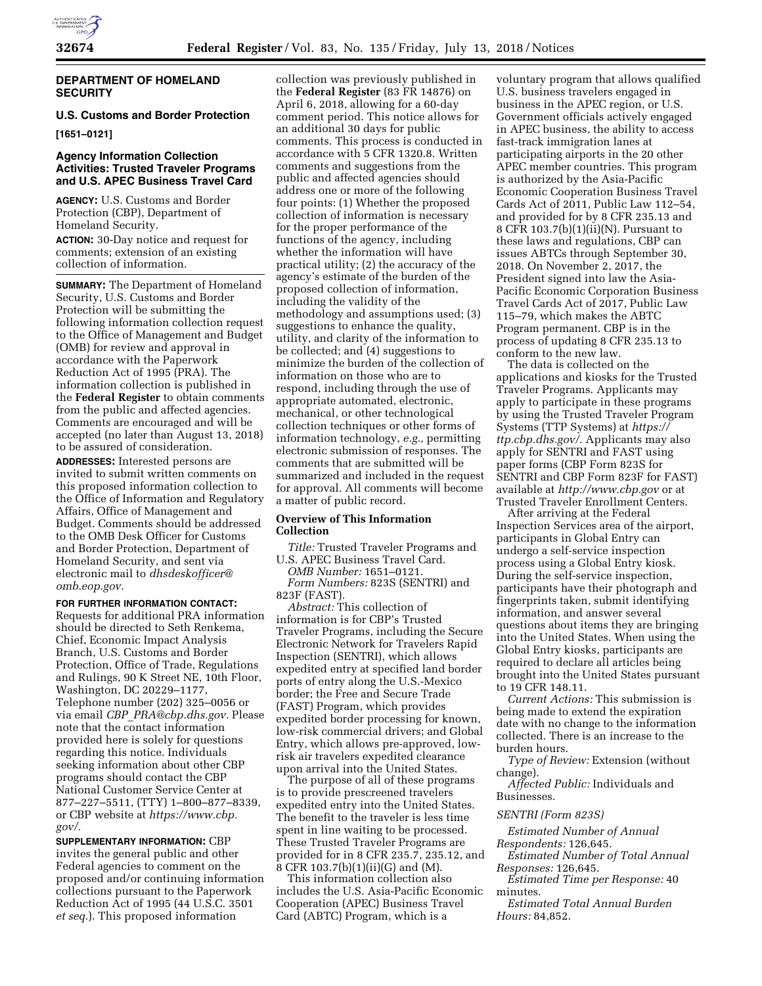

## **DEPARTMENT OF HOMELAND SECURITY**

# **U.S. Customs and Border Protection**

**[1651–0121]** 

# **Agency Information Collection Activities: Trusted Traveler Programs and U.S. APEC Business Travel Card**

**AGENCY:** U.S. Customs and Border Protection (CBP), Department of Homeland Security.

**ACTION:** 30-Day notice and request for comments; extension of an existing collection of information.

**SUMMARY:** The Department of Homeland Security, U.S. Customs and Border Protection will be submitting the following information collection request to the Office of Management and Budget (OMB) for review and approval in accordance with the Paperwork Reduction Act of 1995 (PRA). The information collection is published in the **Federal Register** to obtain comments from the public and affected agencies. Comments are encouraged and will be accepted (no later than August 13, 2018) to be assured of consideration.

**ADDRESSES:** Interested persons are invited to submit written comments on this proposed information collection to the Office of Information and Regulatory Affairs, Office of Management and Budget. Comments should be addressed to the OMB Desk Officer for Customs and Border Protection, Department of Homeland Security, and sent via electronic mail to *[dhsdeskofficer@](mailto:dhsdeskofficer@omb.eop.gov) [omb.eop.gov.](mailto:dhsdeskofficer@omb.eop.gov)* 

## **FOR FURTHER INFORMATION CONTACT:**

Requests for additional PRA information should be directed to Seth Renkema, Chief, Economic Impact Analysis Branch, U.S. Customs and Border Protection, Office of Trade, Regulations and Rulings, 90 K Street NE, 10th Floor, Washington, DC 20229–1177, Telephone number (202) 325–0056 or via email *CBP*\_*[PRA@cbp.dhs.gov.](mailto:CBP_PRA@cbp.dhs.gov)* Please note that the contact information provided here is solely for questions regarding this notice. Individuals seeking information about other CBP programs should contact the CBP National Customer Service Center at 877–227–5511, (TTY) 1–800–877–8339, or CBP website at *[https://www.cbp.](https://www.cbp.gov/)  [gov/.](https://www.cbp.gov/)* 

**SUPPLEMENTARY INFORMATION:** CBP invites the general public and other Federal agencies to comment on the proposed and/or continuing information collections pursuant to the Paperwork Reduction Act of 1995 (44 U.S.C. 3501 *et seq.*). This proposed information

collection was previously published in the **Federal Register** (83 FR 14876) on April 6, 2018, allowing for a 60-day comment period. This notice allows for an additional 30 days for public comments. This process is conducted in accordance with 5 CFR 1320.8. Written comments and suggestions from the public and affected agencies should address one or more of the following four points: (1) Whether the proposed collection of information is necessary for the proper performance of the functions of the agency, including whether the information will have practical utility; (2) the accuracy of the agency's estimate of the burden of the proposed collection of information, including the validity of the methodology and assumptions used; (3) suggestions to enhance the quality, utility, and clarity of the information to be collected; and (4) suggestions to minimize the burden of the collection of information on those who are to respond, including through the use of appropriate automated, electronic, mechanical, or other technological collection techniques or other forms of information technology, *e.g.,* permitting electronic submission of responses. The comments that are submitted will be summarized and included in the request for approval. All comments will become a matter of public record.

## **Overview of This Information Collection**

*Title:* Trusted Traveler Programs and U.S. APEC Business Travel Card.

*OMB Number:* 1651–0121. *Form Numbers:* 823S (SENTRI) and 823F (FAST).

*Abstract:* This collection of information is for CBP's Trusted Traveler Programs, including the Secure Electronic Network for Travelers Rapid Inspection (SENTRI), which allows expedited entry at specified land border ports of entry along the U.S.-Mexico border; the Free and Secure Trade (FAST) Program, which provides expedited border processing for known, low-risk commercial drivers; and Global Entry, which allows pre-approved, lowrisk air travelers expedited clearance upon arrival into the United States.

The purpose of all of these programs is to provide prescreened travelers expedited entry into the United States. The benefit to the traveler is less time spent in line waiting to be processed. These Trusted Traveler Programs are provided for in 8 CFR 235.7, 235.12, and  $8$  CFR 103.7(b)(1)(ii)(G) and (M).

This information collection also includes the U.S. Asia-Pacific Economic Cooperation (APEC) Business Travel Card (ABTC) Program, which is a

voluntary program that allows qualified U.S. business travelers engaged in business in the APEC region, or U.S. Government officials actively engaged in APEC business, the ability to access fast-track immigration lanes at participating airports in the 20 other APEC member countries. This program is authorized by the Asia-Pacific Economic Cooperation Business Travel Cards Act of 2011, Public Law 112–54, and provided for by 8 CFR 235.13 and 8 CFR 103.7(b)(1)(ii)(N). Pursuant to these laws and regulations, CBP can issues ABTCs through September 30, 2018. On November 2, 2017, the President signed into law the Asia-Pacific Economic Corporation Business Travel Cards Act of 2017, Public Law 115–79, which makes the ABTC Program permanent. CBP is in the process of updating 8 CFR 235.13 to conform to the new law.

The data is collected on the applications and kiosks for the Trusted Traveler Programs. Applicants may apply to participate in these programs by using the Trusted Traveler Program Systems (TTP Systems) at *[https://](https://ttp.cbp.dhs.gov/) [ttp.cbp.dhs.gov/.](https://ttp.cbp.dhs.gov/)* Applicants may also apply for SENTRI and FAST using paper forms (CBP Form 823S for SENTRI and CBP Form 823F for FAST) available at *<http://www.cbp.gov>*or at Trusted Traveler Enrollment Centers.

After arriving at the Federal Inspection Services area of the airport, participants in Global Entry can undergo a self-service inspection process using a Global Entry kiosk. During the self-service inspection, participants have their photograph and fingerprints taken, submit identifying information, and answer several questions about items they are bringing into the United States. When using the Global Entry kiosks, participants are required to declare all articles being brought into the United States pursuant to 19 CFR 148.11.

*Current Actions:* This submission is being made to extend the expiration date with no change to the information collected. There is an increase to the burden hours.

*Type of Review:* Extension (without change).

*Affected Public:* Individuals and Businesses.

### *SENTRI (Form 823S)*

*Estimated Number of Annual Respondents:* 126,645.

*Estimated Number of Total Annual Responses:* 126,645.

*Estimated Time per Response:* 40 minutes.

*Estimated Total Annual Burden Hours:* 84,852.